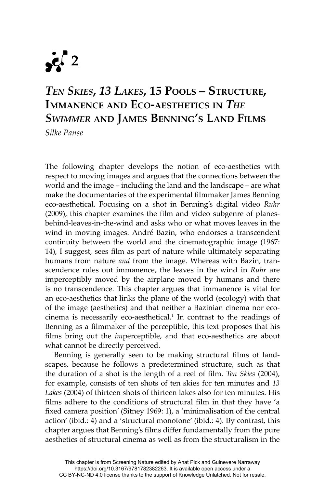# •**<sup>2</sup>**

# *Ten Skies***,** *13 Lakes***, 15 Pools – Structure, Immanence and Eco-aesthetics in** *The Swimmer* **and James Benning's Land Films**

*Silke Panse*

The following chapter develops the notion of eco-aesthetics with respect to moving images and argues that the connections between the world and the image – including the land and the landscape – are what make the documentaries of the experimental filmmaker James Benning eco-aesthetical. Focusing on a shot in Benning's digital video *Ruhr* (2009), this chapter examines the film and video subgenre of planesbehind-leaves-in-the-wind and asks who or what moves leaves in the wind in moving images. André Bazin, who endorses a transcendent continuity between the world and the cinematographic image (1967: 14), I suggest, sees film as part of nature while ultimately separating humans from nature *and* from the image. Whereas with Bazin, transcendence rules out immanence, the leaves in the wind in *Ruhr* are imperceptibly moved by the airplane moved by humans and there is no transcendence. This chapter argues that immanence is vital for an eco-aesthetics that links the plane of the world (ecology) with that of the image (aesthetics) and that neither a Bazinian cinema nor eco $c$ inema is necessarily eco-aesthetical. $<sup>1</sup>$  In contrast to the readings of</sup> Benning as a filmmaker of the perceptible, this text proposes that his films bring out the *im*perceptible, and that eco-aesthetics are about what cannot be directly perceived.

Benning is generally seen to be making structural films of landscapes, because he follows a predetermined structure, such as that the duration of a shot is the length of a reel of film. *Ten Skies* (2004), for example, consists of ten shots of ten skies for ten minutes and *13 Lakes* (2004) of thirteen shots of thirteen lakes also for ten minutes. His films adhere to the conditions of structural film in that they have 'a fixed camera position' (Sitney 1969: 1), a 'minimalisation of the central action' (ibid.: 4) and a 'structural monotone' (ibid.: 4). By contrast, this chapter argues that Benning's films differ fundamentally from the pure aesthetics of structural cinema as well as from the structuralism in the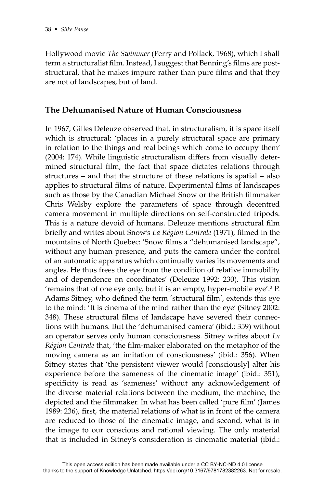Hollywood movie *The Swimmer* (Perry and Pollack, 1968), which I shall term a structuralist film. Instead, I suggest that Benning's films are poststructural, that he makes impure rather than pure films and that they are not of landscapes, but of land.

# **The Dehumanised Nature of Human Consciousness**

In 1967, Gilles Deleuze observed that, in structuralism, it is space itself which is structural: 'places in a purely structural space are primary in relation to the things and real beings which come to occupy them' (2004: 174). While linguistic structuralism differs from visually determined structural film, the fact that space dictates relations through structures – and that the structure of these relations is spatial – also applies to structural films of nature. Experimental films of landscapes such as those by the Canadian Michael Snow or the British filmmaker Chris Welsby explore the parameters of space through decentred camera movement in multiple directions on self-constructed tripods. This is a nature devoid of humans. Deleuze mentions structural film briefly and writes about Snow's *La Région Centrale* (1971), filmed in the mountains of North Quebec: 'Snow films a "dehumanised landscape", without any human presence, and puts the camera under the control of an automatic apparatus which continually varies its movements and angles. He thus frees the eye from the condition of relative immobility and of dependence on coordinates' (Deleuze 1992: 230). This vision 'remains that of one eye only, but it is an empty, hyper-mobile eye'.<sup>2</sup> P. Adams Sitney, who defined the term 'structural film', extends this eye to the mind: 'It is cinema of the mind rather than the eye' (Sitney 2002: 348). These structural films of landscape have severed their connections with humans. But the 'dehumanised camera' (ibid.: 359) without an operator serves only human consciousness. Sitney writes about *La Région Centrale* that, 'the film-maker elaborated on the metaphor of the moving camera as an imitation of consciousness' (ibid.: 356). When Sitney states that 'the persistent viewer would [consciously] alter his experience before the sameness of the cinematic image' (ibid.: 351), specificity is read as 'sameness' without any acknowledgement of the diverse material relations between the medium, the machine, the depicted and the filmmaker. In what has been called 'pure film' (James 1989: 236), first, the material relations of what is in front of the camera are reduced to those of the cinematic image, and second, what is in the image to our conscious and rational viewing. The only material that is included in Sitney's consideration is cinematic material (ibid.: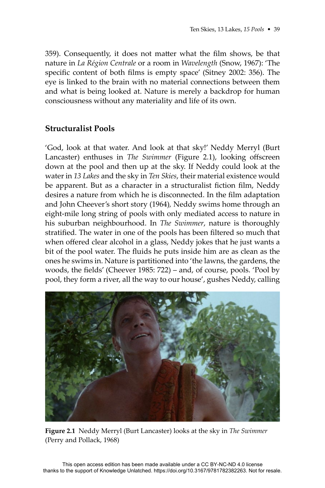359). Consequently, it does not matter what the film shows, be that nature in *La Région Centrale* or a room in *Wavelength* (Snow, 1967): 'The specific content of both films is empty space' (Sitney 2002: 356). The eye is linked to the brain with no material connections between them and what is being looked at. Nature is merely a backdrop for human consciousness without any materiality and life of its own.

# **Structuralist Pools**

'God, look at that water. And look at that sky!' Neddy Merryl (Burt Lancaster) enthuses in *The Swimmer* (Figure 2.1), looking offscreen down at the pool and then up at the sky. If Neddy could look at the water in *13 Lakes* and the sky in *Ten Skies*, their material existence would be apparent. But as a character in a structuralist fiction film, Neddy desires a nature from which he is disconnected. In the film adaptation and John Cheever's short story (1964)*,* Neddy swims home through an eight-mile long string of pools with only mediated access to nature in his suburban neighbourhood. In *The Swimmer*, nature is thoroughly stratified. The water in one of the pools has been filtered so much that when offered clear alcohol in a glass, Neddy jokes that he just wants a bit of the pool water. The fluids he puts inside him are as clean as the ones he swims in. Nature is partitioned into 'the lawns, the gardens, the woods, the fields' (Cheever 1985: 722) – and, of course, pools. 'Pool by pool, they form a river, all the way to our house', gushes Neddy, calling



**Figure 2.1** Neddy Merryl (Burt Lancaster) looks at the sky in *The Swimmer* (Perry and Pollack, 1968)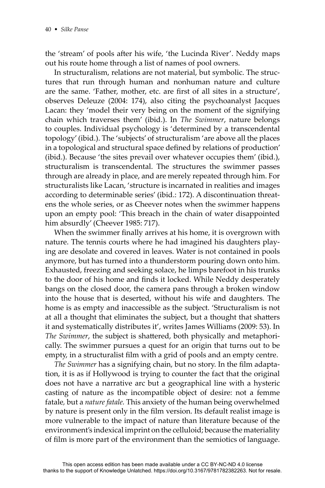the 'stream' of pools after his wife, 'the Lucinda River'. Neddy maps out his route home through a list of names of pool owners.

In structuralism, relations are not material, but symbolic. The structures that run through human and nonhuman nature and culture are the same. 'Father, mother, etc. are first of all sites in a structure', observes Deleuze (2004: 174), also citing the psychoanalyst Jacques Lacan: they 'model their very being on the moment of the signifying chain which traverses them' (ibid.). In *The Swimmer*, nature belongs to couples. Individual psychology is 'determined by a transcendental topology' (ibid.). The 'subjects' of structuralism 'are above all the places in a topological and structural space defined by relations of production' (ibid.). Because 'the sites prevail over whatever occupies them' (ibid.), structuralism is transcendental. The structures the swimmer passes through are already in place, and are merely repeated through him. For structuralists like Lacan, 'structure is incarnated in realities and images according to determinable series' (ibid.: 172). A discontinuation threatens the whole series, or as Cheever notes when the swimmer happens upon an empty pool: 'This breach in the chain of water disappointed him absurdly' (Cheever 1985: 717).

When the swimmer finally arrives at his home, it is overgrown with nature. The tennis courts where he had imagined his daughters playing are desolate and covered in leaves. Water is not contained in pools anymore, but has turned into a thunderstorm pouring down onto him. Exhausted, freezing and seeking solace, he limps barefoot in his trunks to the door of his home and finds it locked. While Neddy desperately bangs on the closed door, the camera pans through a broken window into the house that is deserted, without his wife and daughters. The home is as empty and inaccessible as the subject. 'Structuralism is not at all a thought that eliminates the subject, but a thought that shatters it and systematically distributes it', writes James Williams (2009: 53). In *The Swimmer*, the subject is shattered, both physically and metaphorically. The swimmer pursues a quest for an origin that turns out to be empty, in a structuralist film with a grid of pools and an empty centre.

*The Swimmer* has a signifying chain, but no story. In the film adaptation, it is as if Hollywood is trying to counter the fact that the original does not have a narrative arc but a geographical line with a hysteric casting of nature as the incompatible object of desire: not a femme fatale*,* but a *nature fatale.* This anxiety of the human being overwhelmed by nature is present only in the film version. Its default realist image is more vulnerable to the impact of nature than literature because of the environment's indexical imprint on the celluloid; because the materiality of film is more part of the environment than the semiotics of language.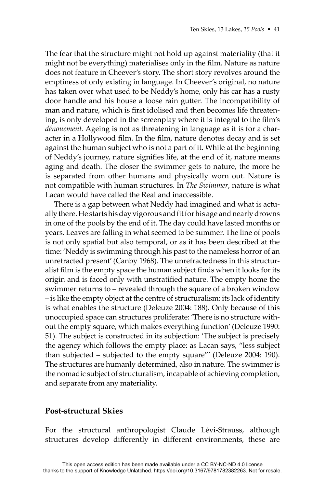The fear that the structure might not hold up against materiality (that it might not be everything) materialises only in the film. Nature as nature does not feature in Cheever's story. The short story revolves around the emptiness of only existing in language. In Cheever's original, no nature has taken over what used to be Neddy's home, only his car has a rusty door handle and his house a loose rain gutter. The incompatibility of man and nature, which is first idolised and then becomes life threatening, is only developed in the screenplay where it is integral to the film's *dénouement*. Ageing is not as threatening in language as it is for a character in a Hollywood film. In the film, nature denotes decay and is set against the human subject who is not a part of it. While at the beginning of Neddy's journey, nature signifies life, at the end of it, nature means aging and death. The closer the swimmer gets to nature, the more he is separated from other humans and physically worn out. Nature is not compatible with human structures. In *The Swimmer*, nature is what Lacan would have called the Real and inaccessible.

There is a gap between what Neddy had imagined and what is actually there. He starts his day vigorous and fit for his age and nearly drowns in one of the pools by the end of it. The day could have lasted months or years. Leaves are falling in what seemed to be summer. The line of pools is not only spatial but also temporal, or as it has been described at the time: 'Neddy is swimming through his past to the nameless horror of an unrefracted present' (Canby 1968). The unrefractedness in this structuralist film is the empty space the human subject finds when it looks for its origin and is faced only with unstratified nature. The empty home the swimmer returns to – revealed through the square of a broken window – is like the empty object at the centre of structuralism: its lack of identity is what enables the structure (Deleuze 2004: 188). Only because of this unoccupied space can structures proliferate: 'There is no structure without the empty square, which makes everything function' (Deleuze 1990: 51). The subject is constructed in its subjection: 'The subject is precisely the agency which follows the empty place: as Lacan says, "less subject than subjected – subjected to the empty square"' (Deleuze 2004: 190). The structures are humanly determined, also in nature. The swimmer is the nomadic subject of structuralism, incapable of achieving completion, and separate from any materiality.

#### **Post-structural Skies**

For the structural anthropologist Claude Lévi-Strauss, although structures develop differently in different environments, these are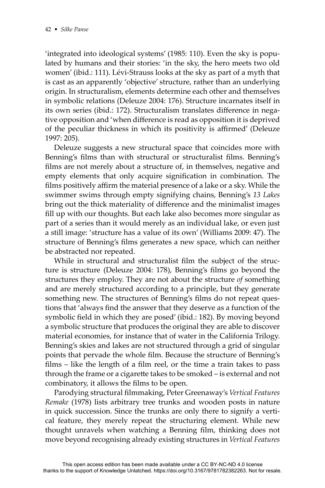'integrated into ideological systems' (1985: 110). Even the sky is populated by humans and their stories: 'in the sky, the hero meets two old women' (ibid.: 111). Lévi-Strauss looks at the sky as part of a myth that is cast as an apparently 'objective' structure, rather than an underlying origin. In structuralism, elements determine each other and themselves in symbolic relations (Deleuze 2004: 176). Structure incarnates itself in its own series (ibid.: 172). Structuralism translates difference in negative opposition and 'when difference is read as opposition it is deprived of the peculiar thickness in which its positivity is affirmed' (Deleuze 1997: 205).

Deleuze suggests a new structural space that coincides more with Benning's films than with structural or structuralist films. Benning's films are not merely about a structure of, in themselves, negative and empty elements that only acquire signification in combination. The films positively affirm the material presence of a lake or a sky. While the swimmer swims through empty signifying chains, Benning's *13 Lakes* bring out the thick materiality of difference and the minimalist images fill up with our thoughts. But each lake also becomes more singular as part of a series than it would merely as an individual lake, or even just a still image: 'structure has a value of its own' (Williams 2009: 47). The structure of Benning's films generates a new space, which can neither be abstracted nor repeated.

While in structural and structuralist film the subject of the structure is structure (Deleuze 2004: 178), Benning's films go beyond the structures they employ. They are not about the structure *of* something and are merely structured according to a principle, but they generate something new. The structures of Benning's films do not repeat questions that 'always find the answer that they deserve as a function of the symbolic field in which they are posed' (ibid.: 182). By moving beyond a symbolic structure that produces the original they are able to discover material economies, for instance that of water in the California Trilogy. Benning's skies and lakes are not structured through a grid of singular points that pervade the whole film. Because the structure of Benning's films – like the length of a film reel, or the time a train takes to pass through the frame or a cigarette takes to be smoked – is external and not combinatory, it allows the films to be open.

Parodying structural filmmaking, Peter Greenaway's *Vertical Features Remake* (1978) lists arbitrary tree trunks and wooden posts in nature in quick succession. Since the trunks are only there to signify a vertical feature, they merely repeat the structuring element. While new thought unravels when watching a Benning film, thinking does not move beyond recognising already existing structures in *Vertical Features*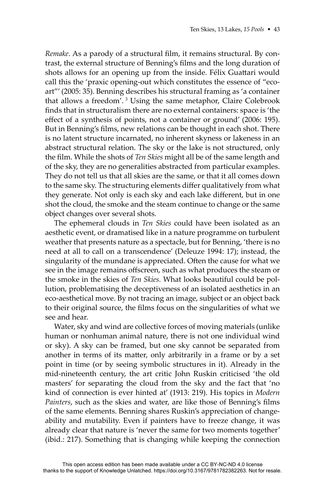*Remake*. As a parody of a structural film, it remains structural. By contrast, the external structure of Benning's films and the long duration of shots allows for an opening up from the inside. Félix Guattari would call this the 'praxic opening-out which constitutes the essence of "ecoart"' (2005: 35). Benning describes his structural framing as 'a container that allows a freedom'. 3 Using the same metaphor, Claire Colebrook finds that in structuralism there are no external containers: space is 'the effect of a synthesis of points, not a container or ground' (2006: 195). But in Benning's films, new relations can be thought in each shot. There is no latent structure incarnated, no inherent skyness or lakeness in an abstract structural relation. The sky or the lake is not structured, only the film. While the shots of *Ten Skies* might all be of the same length and of the sky, they are no generalities abstracted from particular examples. They do not tell us that all skies are the same, or that it all comes down to the same sky. The structuring elements differ qualitatively from what they generate. Not only is each sky and each lake different, but in one shot the cloud, the smoke and the steam continue to change or the same object changes over several shots.

The ephemeral clouds in *Ten Skies* could have been isolated as an aesthetic event, or dramatised like in a nature programme on turbulent weather that presents nature as a spectacle, but for Benning, 'there is no need at all to call on a transcendence' (Deleuze 1994: 17); instead, the singularity of the mundane is appreciated. Often the cause for what we see in the image remains offscreen, such as what produces the steam or the smoke in the skies of *Ten Skies.* What looks beautiful could be pollution, problematising the deceptiveness of an isolated aesthetics in an eco-aesthetical move. By not tracing an image, subject or an object back to their original source, the films focus on the singularities of what we see and hear.

Water, sky and wind are collective forces of moving materials (unlike human or nonhuman animal nature, there is not one individual wind or sky). A sky can be framed, but one sky cannot be separated from another in terms of its matter, only arbitrarily in a frame or by a set point in time (or by seeing symbolic structures in it). Already in the mid-nineteenth century, the art critic John Ruskin criticised 'the old masters' for separating the cloud from the sky and the fact that 'no kind of connection is ever hinted at' (1913: 219). His topics in *Modern Painters*, such as the skies and water, are like those of Benning's films of the same elements. Benning shares Ruskin's appreciation of changeability and mutability. Even if painters have to freeze change, it was already clear that nature is 'never the same for two moments together' (ibid.: 217). Something that is changing while keeping the connection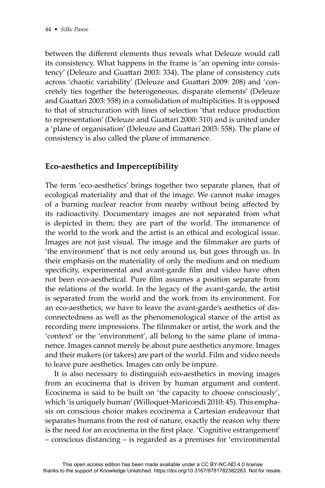between the different elements thus reveals what Deleuze would call its consistency. What happens in the frame is 'an opening into consistency' (Deleuze and Guattari 2003: 334). The plane of consistency cuts across 'chaotic variability' (Deleuze and Guattari 2009: 208) and 'concretely ties together the heterogeneous, disparate elements' (Deleuze and Guattari 2003: 558) in a consolidation of multiplicities. It is opposed to that of structuration with lines of selection 'that reduce production to representation' (Deleuze and Guattari 2000: 310) and is united under a 'plane of organisation' (Deleuze and Guattari 2003: 558). The plane of consistency is also called the plane of immanence.

#### **Eco-aesthetics and Imperceptibility**

The term 'eco-aesthetics' brings together two separate planes, that of ecological materiality and that of the image. We cannot make images of a burning nuclear reactor from nearby without being affected by its radioactivity. Documentary images are not separated from what is depicted in them; they are part of the world. The immanence of the world to the work and the artist is an ethical and ecological issue. Images are not just visual. The image and the filmmaker are parts of 'the environment' that is not only around us, but goes through us. In their emphasis on the materiality of only the medium and on medium specificity, experimental and avant-garde film and video have often not been eco-aesthetical. Pure film assumes a position separate from the relations of the world. In the legacy of the avant-garde, the artist is separated from the world and the work from its environment. For an eco-aesthetics, we have to leave the avant-garde's aesthetics of disconnectedness as well as the phenomenological stance of the artist as recording mere impressions. The filmmaker or artist, the work and the 'context' or the 'environment', all belong to the same plane of immanence. Images cannot merely be about pure aesthetics anymore. Images and their makers (or takers) are part of the world. Film and video needs to leave pure aesthetics. Images can only be impure.

It is also necessary to distinguish eco-aesthetics in moving images from an ecocinema that is driven by human argument and content. Ecocinema is said to be built on 'the capacity to choose consciously', which 'is uniquely human' (Willoquet-Maricondi 2010: 45). This emphasis on conscious choice makes ecocinema a Cartesian endeavour that separates humans from the rest of nature, exactly the reason why there is the need for an ecocinema in the first place. 'Cognitive estrangement' – conscious distancing – is regarded as a premises for 'environmental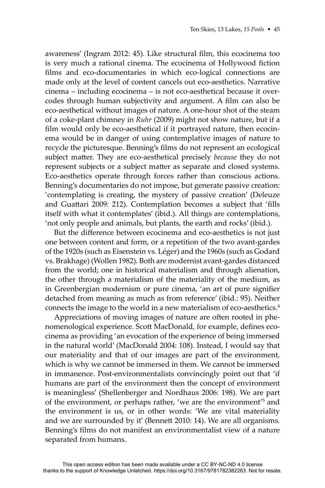awareness' (Ingram 2012: 45). Like structural film, this ecocinema too is very much a rational cinema. The ecocinema of Hollywood fiction films and eco-documentaries in which eco-logical connections are made only at the level of content cancels out eco-aesthetics. Narrative cinema – including ecocinema – is not eco-aesthetical because it overcodes through human subjectivity and argument. A film can also be eco-aesthetical without images of nature. A one-hour shot of the steam of a coke-plant chimney in *Ruhr* (2009) might not show nature, but if a film would only be eco-aesthetical if it portrayed nature, then ecocinema would be in danger of using contemplative images of nature to recycle the picturesque. Benning's films do not represent an ecological subject matter. They are eco-aesthetical precisely *because* they do not represent subjects or a subject matter as separate and closed systems. Eco-aesthetics operate through forces rather than conscious actions. Benning's documentaries do not impose, but generate passive creation: 'contemplating is creating, the mystery of passive creation' (Deleuze and Guattari 2009*:* 212). Contemplation becomes a subject that 'fills itself with what it contemplates' (ibid.). All things are contemplations, 'not only people and animals, but plants, the earth and rocks' (ibid.).

But the difference between ecocinema and eco-aesthetics is not just one between content and form, or a repetition of the two avant-gardes of the 1920s (such as Eisenstein vs. Léger) and the 1960s (such as Godard vs. Brakhage) (Wollen 1982). Both are modernist avant-gardes distanced from the world; one in historical materialism and through alienation, the other through a materialism of the materiality of the medium, as in Greenbergian modernism or pure cinema, 'an art of pure signifier detached from meaning as much as from reference' (ibid.: 95). Neither connects the image to the world in a new materialism of eco-aesthetics.<sup>4</sup>

Appreciations of moving images of nature are often rooted in phenomenological experience. Scott MacDonald, for example, defines ecocinema as providing 'an evocation of the experience of being immersed in the natural world' (MacDonald 2004: 108). Instead, I would say that our materiality and that of our images are part of the environment, which is why we cannot be immersed in them. We cannot be immersed in immanence. Post-environmentalists convincingly point out that 'if humans are part of the environment then the concept of environment is meaningless' (Shellenberger and Nordhaus 2006: 198). We are part of the environment, or perhaps rather, 'we are the environment'<sup>5</sup> and the environment is us, or in other words: 'We are vital materiality and we are surrounded by it' (Bennett 2010: 14). We are all organisms. Benning's films do not manifest an environmentalist view of a nature separated from humans.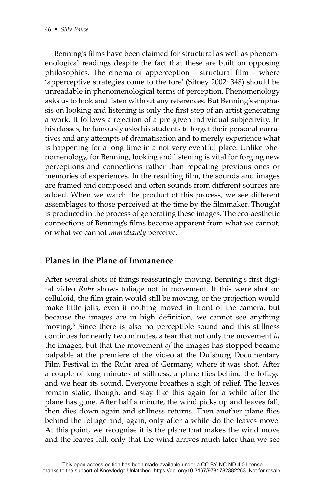Benning's films have been claimed for structural as well as phenomenological readings despite the fact that these are built on opposing philosophies. The cinema of apperception – structural film – where 'apperceptive strategies come to the fore' (Sitney 2002: 348) should be unreadable in phenomenological terms of perception. Phenomenology asks us to look and listen without any references. But Benning's emphasis on looking and listening is only the first step of an artist generating a work. It follows a rejection of a pre-given individual subjectivity. In his classes, he famously asks his students to forget their personal narratives and any attempts of dramatisation and to merely experience what is happening for a long time in a not very eventful place. Unlike phenomenology, for Benning, looking and listening is vital for forging new perceptions and connections rather than repeating previous ones or memories of experiences. In the resulting film, the sounds and images are framed and composed and often sounds from different sources are added. When we watch the product of this process, we see different assemblages to those perceived at the time by the filmmaker. Thought is produced in the process of generating these images. The eco-aesthetic connections of Benning's films become apparent from what we cannot, or what we cannot *immediately* perceive.

#### **Planes in the Plane of Immanence**

After several shots of things reassuringly moving, Benning's first digital video *Ruhr* shows foliage not in movement. If this were shot on celluloid, the film grain would still be moving, or the projection would make little jolts, even if nothing moved in front of the camera, but because the images are in high definition, we cannot see anything moving.6 Since there is also no perceptible sound and this stillness continues for nearly two minutes, a fear that not only the movement *in* the images, but that the movement *of* the images has stopped became palpable at the premiere of the video at the Duisburg Documentary Film Festival in the Ruhr area of Germany, where it was shot. After a couple of long minutes of stillness, a plane flies behind the foliage and we hear its sound. Everyone breathes a sigh of relief. The leaves remain static, though, and stay like this again for a while after the plane has gone. After half a minute, the wind picks up and leaves fall, then dies down again and stillness returns. Then another plane flies behind the foliage and, again, only after a while do the leaves move. At this point, we recognise it is the plane that makes the wind move and the leaves fall, only that the wind arrives much later than we see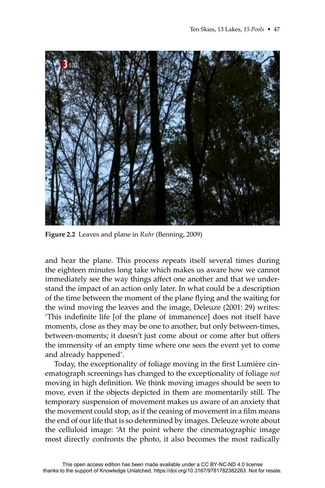

**Figure 2.2** Leaves and plane in *Ruhr* (Benning, 2009)

and hear the plane. This process repeats itself several times during the eighteen minutes long take which makes us aware how we cannot immediately see the way things affect one another and that we understand the impact of an action only later. In what could be a description of the time between the moment of the plane flying and the waiting for the wind moving the leaves and the image, Deleuze (2001: 29) writes: 'This indefinite life [of the plane of immanence] does not itself have moments, close as they may be one to another, but only between-times, between-moments; it doesn't just come about or come after but offers the immensity of an empty time where one sees the event yet to come and already happened'.

Today, the exceptionality of foliage moving in the first Lumière cinematograph screenings has changed to the exceptionality of foliage *not* moving in high definition. We think moving images should be seen to move, even if the objects depicted in them are momentarily still. The temporary suspension of movement makes us aware of an anxiety that the movement could stop, as if the ceasing of movement in a film means the end of our life that is so determined by images. Deleuze wrote about the celluloid image: 'At the point where the cinematographic image most directly confronts the photo, it also becomes the most radically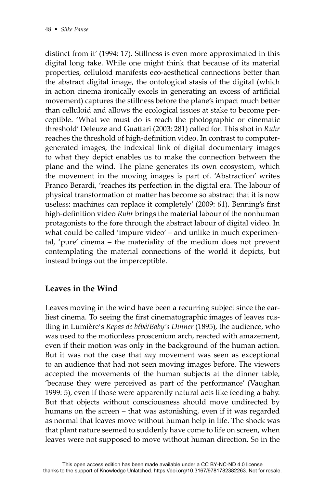distinct from it' (1994: 17). Stillness is even more approximated in this digital long take. While one might think that because of its material properties, celluloid manifests eco-aesthetical connections better than the abstract digital image, the ontological stasis of the digital (which in action cinema ironically excels in generating an excess of artificial movement) captures the stillness before the plane's impact much better than celluloid and allows the ecological issues at stake to become perceptible. 'What we must do is reach the photographic or cinematic threshold' Deleuze and Guattari (2003: 281) called for. This shot in *Ruhr* reaches the threshold of high-definition video. In contrast to computergenerated images, the indexical link of digital documentary images to what they depict enables us to make the connection between the plane and the wind. The plane generates its own ecosystem, which the movement in the moving images is part of. 'Abstraction' writes Franco Berardi, 'reaches its perfection in the digital era. The labour of physical transformation of matter has become so abstract that it is now useless: machines can replace it completely' (2009: 61). Benning's first high-definition video *Ruhr* brings the material labour of the nonhuman protagonists to the fore through the abstract labour of digital video. In what could be called 'impure video' – and unlike in much experimental, 'pure' cinema – the materiality of the medium does not prevent contemplating the material connections of the world it depicts, but instead brings out the imperceptible.

#### **Leaves in the Wind**

Leaves moving in the wind have been a recurring subject since the earliest cinema. To seeing the first cinematographic images of leaves rustling in Lumière's *Repas de bébé/Baby's Dinner* (1895), the audience, who was used to the motionless proscenium arch, reacted with amazement, even if their motion was only in the background of the human action. But it was not the case that *any* movement was seen as exceptional to an audience that had not seen moving images before. The viewers accepted the movements of the human subjects at the dinner table, 'because they were perceived as part of the performance' (Vaughan 1999: 5), even if those were apparently natural acts like feeding a baby. But that objects without consciousness should move undirected by humans on the screen – that was astonishing, even if it was regarded as normal that leaves move without human help in life. The shock was that plant nature seemed to suddenly have come to life on screen, when leaves were not supposed to move without human direction. So in the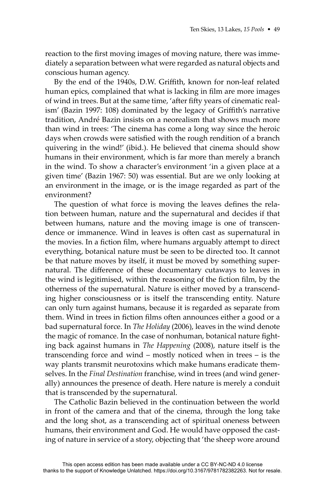reaction to the first moving images of moving nature, there was immediately a separation between what were regarded as natural objects and conscious human agency.

By the end of the 1940s, D.W. Griffith, known for non-leaf related human epics, complained that what is lacking in film are more images of wind in trees. But at the same time, 'after fifty years of cinematic realism' (Bazin 1997: 108) dominated by the legacy of Griffith's narrative tradition, André Bazin insists on a neorealism that shows much more than wind in trees: 'The cinema has come a long way since the heroic days when crowds were satisfied with the rough rendition of a branch quivering in the wind!' (ibid.). He believed that cinema should show humans in their environment, which is far more than merely a branch in the wind. To show a character's environment 'in a given place at a given time' (Bazin 1967: 50) was essential. But are we only looking at an environment in the image, or is the image regarded as part of the environment?

The question of what force is moving the leaves defines the relation between human, nature and the supernatural and decides if that between humans, nature and the moving image is one of transcendence or immanence. Wind in leaves is often cast as supernatural in the movies. In a fiction film, where humans arguably attempt to direct everything, botanical nature must be seen to be directed too. It cannot be that nature moves by itself, it must be moved by something supernatural. The difference of these documentary cutaways to leaves in the wind is legitimised, within the reasoning of the fiction film, by the otherness of the supernatural. Nature is either moved by a transcending higher consciousness or is itself the transcending entity. Nature can only turn against humans, because it is regarded as separate from them. Wind in trees in fiction films often announces either a good or a bad supernatural force. In *The Holiday* (2006), leaves in the wind denote the magic of romance. In the case of nonhuman, botanical nature fighting back against humans in *The Happening* (2008), nature itself is the transcending force and wind – mostly noticed when in trees – is the way plants transmit neurotoxins which make humans eradicate themselves. In the *Final Destination* franchise, wind in trees (and wind generally) announces the presence of death. Here nature is merely a conduit that is transcended by the supernatural.

The Catholic Bazin believed in the continuation between the world in front of the camera and that of the cinema, through the long take and the long shot, as a transcending act of spiritual oneness between humans, their environment and God. He would have opposed the casting of nature in service of a story, objecting that 'the sheep wore around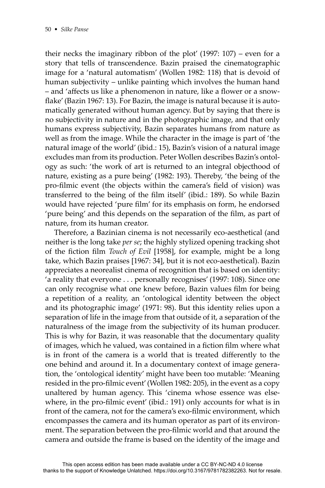their necks the imaginary ribbon of the plot' (1997: 107) – even for a story that tells of transcendence. Bazin praised the cinematographic image for a 'natural automatism' (Wollen 1982: 118) that is devoid of human subjectivity – unlike painting which involves the human hand – and 'affects us like a phenomenon in nature, like a flower or a snowflake' (Bazin 1967: 13). For Bazin, the image is natural because it is automatically generated without human agency. But by saying that there is no subjectivity in nature and in the photographic image, and that only humans express subjectivity, Bazin separates humans from nature as well as from the image. While the character in the image is part of 'the natural image of the world' (ibid.: 15), Bazin's vision of a natural image excludes man from its production. Peter Wollen describes Bazin's ontology as such: 'the work of art is returned to an integral objecthood of nature, existing as a pure being' (1982: 193). Thereby, 'the being of the pro-filmic event (the objects within the camera's field of vision) was transferred to the being of the film itself' (ibid.: 189). So while Bazin would have rejected 'pure film' for its emphasis on form, he endorsed 'pure being' and this depends on the separation of the film, as part of nature, from its human creator.

Therefore, a Bazinian cinema is not necessarily eco-aesthetical (and neither is the long take *per se*; the highly stylized opening tracking shot of the fiction film *Touch of Evil* [1958], for example, might be a long take, which Bazin praises [1967: 34], but it is not eco-aesthetical). Bazin appreciates a neorealist cinema of recognition that is based on identity: 'a reality that everyone . . . personally recognises' (1997: 108). Since one can only recognise what one knew before, Bazin values film for being a repetition of a reality, an 'ontological identity between the object and its photographic image' (1971: 98). But this identity relies upon a separation of life in the image from that outside of it, a separation of the naturalness of the image from the subjectivity of its human producer. This is why for Bazin, it was reasonable that the documentary quality of images, which he valued, was contained in a fiction film where what is in front of the camera is a world that is treated differently to the one behind and around it. In a documentary context of image generation, the 'ontological identity' might have been too mutable: 'Meaning resided in the pro-filmic event' (Wollen 1982: 205), in the event as a copy unaltered by human agency. This 'cinema whose essence was elsewhere, in the pro-filmic event' (ibid.: 191) only accounts for what is in front of the camera, not for the camera's exo-filmic environment, which encompasses the camera and its human operator as part of its environment. The separation between the pro-filmic world and that around the camera and outside the frame is based on the identity of the image and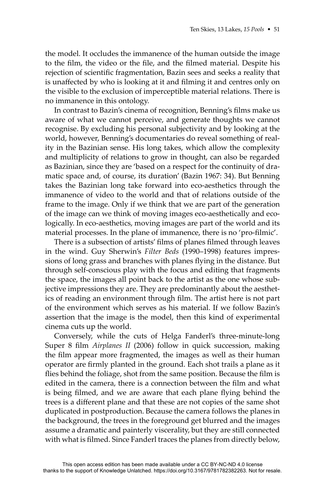the model. It occludes the immanence of the human outside the image to the film, the video or the file, and the filmed material. Despite his rejection of scientific fragmentation, Bazin sees and seeks a reality that is unaffected by who is looking at it and filming it and centres only on the visible to the exclusion of imperceptible material relations. There is no immanence in this ontology.

In contrast to Bazin's cinema of recognition, Benning's films make us aware of what we cannot perceive, and generate thoughts we cannot recognise. By excluding his personal subjectivity and by looking at the world, however, Benning's documentaries do reveal something of reality in the Bazinian sense. His long takes, which allow the complexity and multiplicity of relations to grow in thought, can also be regarded as Bazinian, since they are 'based on a respect for the continuity of dramatic space and, of course, its duration' (Bazin 1967: 34). But Benning takes the Bazinian long take forward into eco-aesthetics through the immanence of video to the world and that of relations outside of the frame to the image. Only if we think that we are part of the generation of the image can we think of moving images eco-aesthetically and ecologically. In eco-aesthetics, moving images are part of the world and its material processes. In the plane of immanence, there is no 'pro-filmic'.

There is a subsection of artists' films of planes filmed through leaves in the wind. Guy Sherwin's *Filter Beds* (1990–1998) features impressions of long grass and branches with planes flying in the distance. But through self-conscious play with the focus and editing that fragments the space, the images all point back to the artist as the one whose subjective impressions they are. They are predominantly about the aesthetics of reading an environment through film. The artist here is not part of the environment which serves as his material. If we follow Bazin's assertion that the image is the model, then this kind of experimental cinema cuts up the world.

Conversely, while the cuts of Helga Fanderl's three-minute-long Super 8 film *Airplanes II* (2006) follow in quick succession, making the film appear more fragmented, the images as well as their human operator are firmly planted in the ground. Each shot trails a plane as it flies behind the foliage, shot from the same position. Because the film is edited in the camera, there is a connection between the film and what is being filmed, and we are aware that each plane flying behind the trees is a different plane and that these are not copies of the same shot duplicated in postproduction. Because the camera follows the planes in the background, the trees in the foreground get blurred and the images assume a dramatic and painterly viscerality, but they are still connected with what is filmed. Since Fanderl traces the planes from directly below,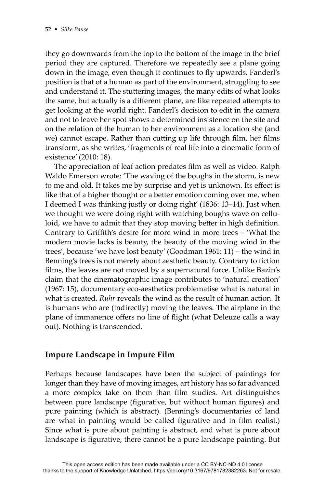they go downwards from the top to the bottom of the image in the brief period they are captured. Therefore we repeatedly see a plane going down in the image, even though it continues to fly upwards. Fanderl's position is that of a human as part of the environment, struggling to see and understand it. The stuttering images, the many edits of what looks the same, but actually is a different plane, are like repeated attempts to get looking at the world right. Fanderl's decision to edit in the camera and not to leave her spot shows a determined insistence on the site and on the relation of the human to her environment as a location she (and we) cannot escape. Rather than cutting up life through film, her films transform, as she writes, 'fragments of real life into a cinematic form of existence' (2010: 18).

The appreciation of leaf action predates film as well as video. Ralph Waldo Emerson wrote: 'The waving of the boughs in the storm, is new to me and old. It takes me by surprise and yet is unknown. Its effect is like that of a higher thought or a better emotion coming over me, when I deemed I was thinking justly or doing right' (1836: 13–14). Just when we thought we were doing right with watching boughs wave on celluloid, we have to admit that they stop moving better in high definition. Contrary to Griffith's desire for more wind in more trees – 'What the modern movie lacks is beauty, the beauty of the moving wind in the trees', because 'we have lost beauty' (Goodman 1961: 11) – the wind in Benning's trees is not merely about aesthetic beauty. Contrary to fiction films, the leaves are not moved by a supernatural force. Unlike Bazin's claim that the cinematographic image contributes to 'natural creation' (1967: 15), documentary eco-aesthetics problematise what is natural in what is created. *Ruhr* reveals the wind as the result of human action. It is humans who are (indirectly) moving the leaves. The airplane in the plane of immanence offers no line of flight (what Deleuze calls a way out). Nothing is transcended.

## **Impure Landscape in Impure Film**

Perhaps because landscapes have been the subject of paintings for longer than they have of moving images, art history has so far advanced a more complex take on them than film studies. Art distinguishes between pure landscape (figurative, but without human figures) and pure painting (which is abstract). (Benning's documentaries of land are what in painting would be called figurative and in film realist.) Since what is pure about painting is abstract, and what is pure about landscape is figurative, there cannot be a pure landscape painting. But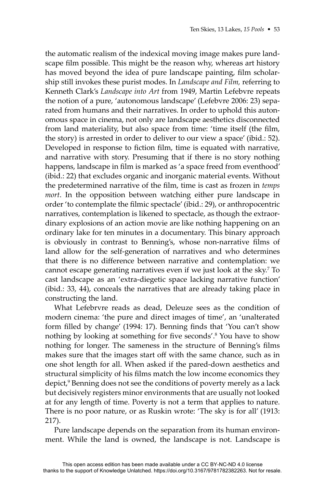the automatic realism of the indexical moving image makes pure landscape film possible. This might be the reason why, whereas art history has moved beyond the idea of pure landscape painting, film scholarship still invokes these purist modes. In *Landscape and Film,* referring to Kenneth Clark's *Landscape into Art* from 1949, Martin Lefebvre repeats the notion of a pure, 'autonomous landscape' (Lefebvre 2006: 23) separated from humans and their narratives. In order to uphold this autonomous space in cinema, not only are landscape aesthetics disconnected from land materiality, but also space from time: 'time itself (the film, the story) is arrested in order to deliver to our view a space' (ibid.: 52). Developed in response to fiction film, time is equated with narrative, and narrative with story. Presuming that if there is no story nothing happens, landscape in film is marked as 'a space freed from eventhood' (ibid.: 22) that excludes organic and inorganic material events. Without the predetermined narrative of the film, time is cast as frozen in *temps mort*. In the opposition between watching either pure landscape in order 'to contemplate the filmic spectacle' (ibid.: 29), or anthropocentric narratives, contemplation is likened to spectacle, as though the extraordinary explosions of an action movie are like nothing happening on an ordinary lake for ten minutes in a documentary. This binary approach is obviously in contrast to Benning's, whose non-narrative films of land allow for the self-generation of narratives and who determines that there is no difference between narrative and contemplation: we cannot escape generating narratives even if we just look at the sky.<sup>7</sup> To cast landscape as an 'extra-diegetic space lacking narrative function' (ibid.: 33, 44), conceals the narratives that are already taking place in constructing the land.

What Lefebrvre reads as dead, Deleuze sees as the condition of modern cinema: 'the pure and direct images of time', an 'unalterated form filled by change' (1994: 17). Benning finds that 'You can't show nothing by looking at something for five seconds'.<sup>8</sup> You have to show nothing for longer. The sameness in the structure of Benning's films makes sure that the images start off with the same chance, such as in one shot length for all. When asked if the pared-down aesthetics and structural simplicity of his films match the low income economics they depict,<sup>9</sup> Benning does not see the conditions of poverty merely as a lack but decisively registers minor environments that are usually not looked at for any length of time. Poverty is not a term that applies to nature. There is no poor nature, or as Ruskin wrote: 'The sky is for all' (1913: 217).

Pure landscape depends on the separation from its human environment. While the land is owned, the landscape is not. Landscape is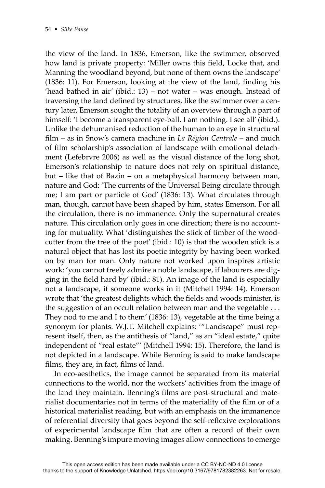the view of the land. In 1836, Emerson, like the swimmer, observed how land is private property: 'Miller owns this field, Locke that, and Manning the woodland beyond, but none of them owns the landscape' (1836: 11). For Emerson, looking at the view of the land, finding his 'head bathed in air' (ibid.: 13) – not water – was enough. Instead of traversing the land defined by structures, like the swimmer over a century later, Emerson sought the totality of an overview through a part of himself: 'I become a transparent eye-ball. I am nothing. I see all' (ibid.). Unlike the dehumanised reduction of the human to an eye in structural film – as in Snow's camera machine in *La Région Centrale* – and much of film scholarship's association of landscape with emotional detachment (Lefebrvre 2006) as well as the visual distance of the long shot, Emerson's relationship to nature does not rely on spiritual distance, but – like that of Bazin – on a metaphysical harmony between man, nature and God: 'The currents of the Universal Being circulate through me; I am part or particle of God' (1836: 13). What circulates through man, though, cannot have been shaped by him, states Emerson. For all the circulation, there is no immanence. Only the supernatural creates nature. This circulation only goes in one direction; there is no accounting for mutuality. What 'distinguishes the stick of timber of the woodcutter from the tree of the poet' (ibid.: 10) is that the wooden stick is a natural object that has lost its poetic integrity by having been worked on by man for man. Only nature not worked upon inspires artistic work: 'you cannot freely admire a noble landscape, if labourers are digging in the field hard by' (ibid.: 81). An image of the land is especially not a landscape, if someone works in it (Mitchell 1994: 14). Emerson wrote that 'the greatest delights which the fields and woods minister, is the suggestion of an occult relation between man and the vegetable ... They nod to me and I to them' (1836: 13), vegetable at the time being a synonym for plants. W.J.T. Mitchell explains: '"Landscape" must represent itself, then, as the antithesis of "land," as an "ideal estate," quite independent of "real estate"' (Mitchell 1994: 15). Therefore, the land is not depicted in a landscape. While Benning is said to make landscape films, they are, in fact, films of land.

In eco-aesthetics, the image cannot be separated from its material connections to the world, nor the workers' activities from the image of the land they maintain. Benning's films are post-structural and materialist documentaries not in terms of the materiality of the film or of a historical materialist reading, but with an emphasis on the immanence of referential diversity that goes beyond the self-reflexive explorations of experimental landscape film that are often a record of their own making. Benning's impure moving images allow connections to emerge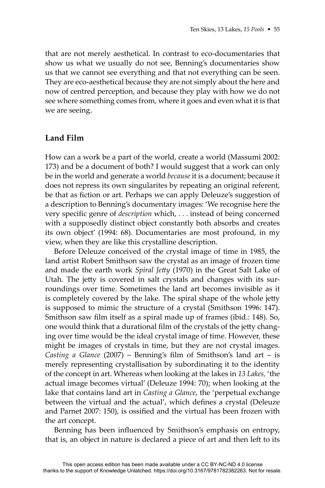that are not merely aesthetical. In contrast to eco-documentaries that show us what we usually do not see, Benning's documentaries show us that we cannot see everything and that not everything can be seen. They are eco-aesthetical because they are not simply about the here and now of centred perception, and because they play with how we do not see where something comes from, where it goes and even what it is that we are seeing.

#### **Land Film**

How can a work be a part of the world, create a world (Massumi 2002: 173) and be a document of both? I would suggest that a work can only be in the world and generate a world *because* it is a document; because it does not repress its own singularites by repeating an original referent, be that as fiction or art. Perhaps we can apply Deleuze's suggestion of a description to Benning's documentary images: 'We recognise here the very specific genre of *description* which, . . . instead of being concerned with a supposedly distinct object constantly both absorbs and creates its own object' (1994: 68). Documentaries are most profound, in my view, when they are like this crystalline description.

Before Deleuze conceived of the crystal image of time in 1985, the land artist Robert Smithson saw the crystal as an image of frozen time and made the earth work *Spiral Jetty* (1970) in the Great Salt Lake of Utah. The jetty is covered in salt crystals and changes with its surroundings over time. Sometimes the land art becomes invisible as it is completely covered by the lake. The spiral shape of the whole jetty is supposed to mimic the structure of a crystal (Smithson 1996: 147). Smithson saw film itself as a spiral made up of frames (ibid.: 148). So, one would think that a durational film of the crystals of the jetty changing over time would be the ideal crystal image of time. However, these might be images of crystals in time, but they are not crystal images. *Casting a Glance* (2007) – Benning's film of Smithson's land art – is merely representing crystallisation by subordinating it to the identity of the concept in art. Whereas when looking at the lakes in *13 Lakes,* 'the actual image becomes virtual' (Deleuze 1994: 70); when looking at the lake that contains land art in *Casting a Glance*, the 'perpetual exchange between the virtual and the actual', which defines a crystal (Deleuze and Parnet 2007: 150), is ossified and the virtual has been frozen with the art concept.

Benning has been influenced by Smithson's emphasis on entropy, that is, an object in nature is declared a piece of art and then left to its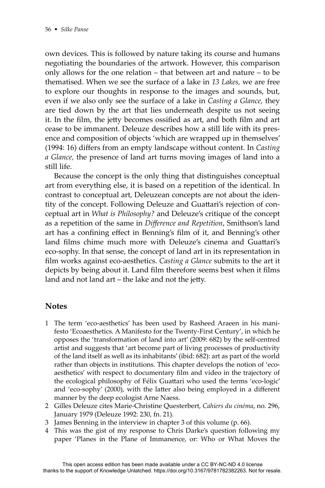own devices. This is followed by nature taking its course and humans negotiating the boundaries of the artwork. However, this comparison only allows for the one relation – that between art and nature – to be thematised. When we see the surface of a lake in *13 Lakes,* we are free to explore our thoughts in response to the images and sounds, but, even if we also only see the surface of a lake in *Casting a Glance,* they are tied down by the art that lies underneath despite us not seeing it. In the film, the jetty becomes ossified as art, and both film and art cease to be immanent. Deleuze describes how a still life with its presence and composition of objects 'which are wrapped up in themselves' (1994: 16) differs from an empty landscape without content. In *Casting a Glance,* the presence of land art turns moving images of land into a still life.

Because the concept is the only thing that distinguishes conceptual art from everything else, it is based on a repetition of the identical. In contrast to conceptual art, Deleuzean concepts are not about the identity of the concept. Following Deleuze and Guattari's rejection of conceptual art in *What is Philosophy?* and Deleuze's critique of the concept as a repetition of the same in *Difference and Repetition*, Smithson's land art has a confining effect in Benning's film of it, and Benning's other land films chime much more with Deleuze's cinema and Guattari's eco-sophy. In that sense, the concept of land art in its representation in film works against eco-aesthetics. *Casting a Glance* submits to the art it depicts by being about it. Land film therefore seems best when it films land and not land art – the lake and not the jetty.

#### **Notes**

- 1 The term 'eco-aesthetics' has been used by Rasheed Araeen in his manifesto 'Ecoaesthetics. A Manifesto for the Twenty-First Century', in which he opposes the 'transformation of land into art' (2009: 682) by the self-centred artist and suggests that 'art become part of living processes of productivity of the land itself as well as its inhabitants' (ibid: 682): art as part of the world rather than objects in institutions. This chapter develops the notion of 'ecoaesthetics' with respect to documentary film and video in the trajectory of the ecological philosophy of Félix Guattari who used the terms 'eco-logic' and 'eco-sophy' (2000), with the latter also being employed in a different manner by the deep ecologist Arne Naess.
- 2 Gilles Deleuze cites Marie-Christine Questerbert, *Cahiers du cinéma*, no. 296, January 1979 (Deleuze 1992: 230, fn. 21).
- 3 James Benning in the interview in chapter 3 of this volume (p. 66).
- 4 This was the gist of my response to Chris Darke's question following my paper 'Planes in the Plane of Immanence, or: Who or What Moves the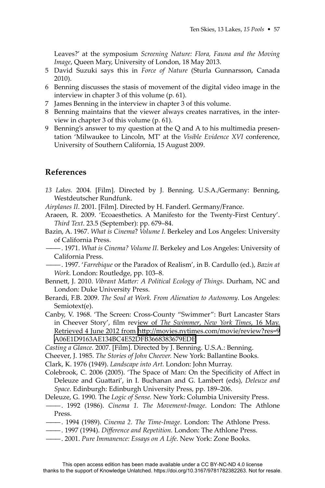Leaves?' at the symposium *Screening Nature: Flora, Fauna and the Moving Image*, Queen Mary, University of London, 18 May 2013.

- 5 David Suzuki says this in *Force of Nature* (Sturla Gunnarsson, Canada 2010).
- 6 Benning discusses the stasis of movement of the digital video image in the interview in chapter 3 of this volume (p. 61).
- 7 James Benning in the interview in chapter 3 of this volume.
- 8 Benning maintains that the viewer always creates narratives, in the interview in chapter 3 of this volume (p. 61).
- 9 Benning's answer to my question at the Q and A to his multimedia presentation 'Milwaukee to Lincoln, MT' at the *Visible Evidence XVI* conference, University of Southern California, 15 August 2009.

## **References**

*13 Lakes.* 2004. [Film]. Directed by J. Benning. U.S.A./Germany: Benning, Westdeutscher Rundfunk.

*Airplanes II*. 2001. [Film]. Directed by H. Fanderl. Germany/France.

Araeen, R. 2009. 'Ecoaesthetics. A Manifesto for the Twenty-First Century'. *Third Text*. 23.5 (September): pp. 679–84.

- Bazin, A. 1967. *What is Cinema*? *Volume I.* Berkeley and Los Angeles: University of California Press.
- ———. 1971. *What is Cinema? Volume II*. Berkeley and Los Angeles: University of California Press.
- ———. 1997. '*Farrebique* or the Paradox of Realism', in B. Cardullo (ed.), *Bazin at Work*. London: Routledge, pp. 103–8.
- Bennett, J. 2010. *Vibrant Matter: A Political Ecology of Things.* Durham, NC and London: Duke University Press.
- Berardi, F.B. 2009. *The Soul at Work. From Alienation to Autonomy*. Los Angeles: Semiotext(e).
- Canby, V. 1968. 'The Screen: Cross-County "Swimmer": Burt Lancaster Stars in Cheever Story', film review of *The Swimmer*, *New York Times*, 16 May. Retrieved 4 June 2012 from [http://movies.nytimes.com/movie/review?res=9](http://movies.nytimes.com/movie/review?res=9A06E1D9163AE134BC4E52DFB3668383679EDE) [A06E1D9163AE134BC4E52DFB3668383679EDE](http://movies.nytimes.com/movie/review?res=9A06E1D9163AE134BC4E52DFB3668383679EDE)
- *Casting a Glance.* 2007. [Film]. Directed by J. Benning. U.S.A.: Benning.
- Cheever, J. 1985. *The Stories of John Cheever.* New York: Ballantine Books.
- Clark, K. 1976 (1949). *Landscape into Art.* London: John Murray.
- Colebrook, C. 2006 (2005). 'The Space of Man: On the Specificity of Affect in Deleuze and Guattari', in I. Buchanan and G. Lambert (eds), *Deleuze and Space.* Edinburgh: Edinburgh University Press, pp. 189–206.
- Deleuze, G. 1990. The *Logic of Sense.* New York: Columbia University Press.
- ———. 1992 (1986). *Cinema 1. The Movement-Image*. London: The Athlone Press.
- ———. 1994 (1989). *Cinema 2. The Time-Image*. London: The Athlone Press.
- ———. 1997 (1994). *Difference and Repetition.* London: The Athlone Press.
- ———. 2001. *Pure Immanence: Essays on A Life*. New York: Zone Books.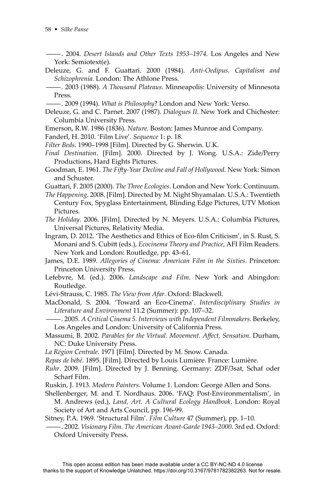- ———. 2004. *Desert Islands and Other Texts 1953–1974.* Los Angeles and New York: Semiotext(e).
- Deleuze, G. and F. Guattari. 2000 (1984). *Anti-Oedipus. Capitalism and Schizophrenia.* London: The Athlone Press.

———. 2003 (1988). *A Thousand Plateaus.* Minneapolis: University of Minnesota Press.

———. 2009 (1994). *What is Philosophy*? London and New York: Verso.

- Deleuze, G. and C. Parnet. 2007 (1987). *Dialogues II*. New York and Chichester: Columbia University Press.
- Emerson, R.W. 1986 (1836). *Nature*. Boston: James Munroe and Company.

Fanderl, H. 2010. 'Film Live'. *Sequence* 1: p. 18.

- *Filter Beds.* 1990–1998 [Film]. Directed by G. Sherwin. U.K.
- *Final Destination*. [Film]. 2000. Directed by J. Wong. U.S.A.: Zide/Perry Productions, Hard Eights Pictures.
- Goodman, E. 1961. *The Fifty-Year Decline and Fall of Hollywood.* New York: Simon and Schuster.
- Guattari, F. 2005 (2000). *The Three Ecologies*. London and New York: Continuum.

*The Happening*. 2008. [Film]. Directed by M. Night Shyamalan. U.S.A.: Twentieth Century Fox, Spyglass Entertainment, Blinding Edge Pictures, UTV Motion Pictures.

*The Holiday*. 2006. [Film]. Directed by N. Meyers. U.S.A.: Columbia Pictures, Universal Pictures, Relativity Media.

Ingram, D. 2012. 'The Aesthetics and Ethics of Eco-film Criticism', in S. Rust, S. Monani and S. Cubitt (eds.), *Ecocinema Theory and Practice*, AFI Film Readers. New York and London: Routledge, pp. 43–61.

James, D.E. 1989. *Allegories of Cinema: American Film in the Sixties*. Princeton: Princeton University Press.

Lefebvre, M. (ed.). 2006. *Landscape and Film*. New York and Abingdon: Routledge.

Lévi-Strauss, C. 1985. *The View from Afar*. Oxford: Blackwell.

MacDonald, S. 2004. 'Toward an Eco-Cinema'. *Interdisciplinary Studies in Literature and Environment* 11.2 (Summer): pp. 107–32.

———. 2005. *A Critical Cinema 5. Interviews with Independent Filmmakers.* Berkeley, Los Angeles and London: University of California Press.

Massumi, B. 2002. *Parables for the Virtual. Movement. Affect, Sensation*. Durham, NC: Duke University Press.

*La Région Centrale.* 1971 [Film]. Directed by M. Snow. Canada.

*Repas de bébé.* 1895. [Film]. Directed by Louis Lumière. France: Lumière.

- *Ruhr*. 2009. [Film]. Directed by J. Benning. Germany: ZDF/3sat, Schaf oder Scharf Film.
- Ruskin, J. 1913. *Modern Painters*. Volume 1. London: George Allen and Sons.
- Shellenberger, M. and T. Nordhaus. 2006. 'FAQ: Post-Environmentalism', in M. Andrews (ed.), *Land, Art. A Cultural Ecology Handbook*. London: Royal Society of Art and Arts Council, pp. 196-99.

Sitney, P.A. 1969. 'Structural Film'. *Film Culture* 47 (Summer), pp. 1–10.

———. 2002. *Visionary Film. The American Avant-Garde 1943–2000*. 3rd ed. Oxford: Oxford University Press.